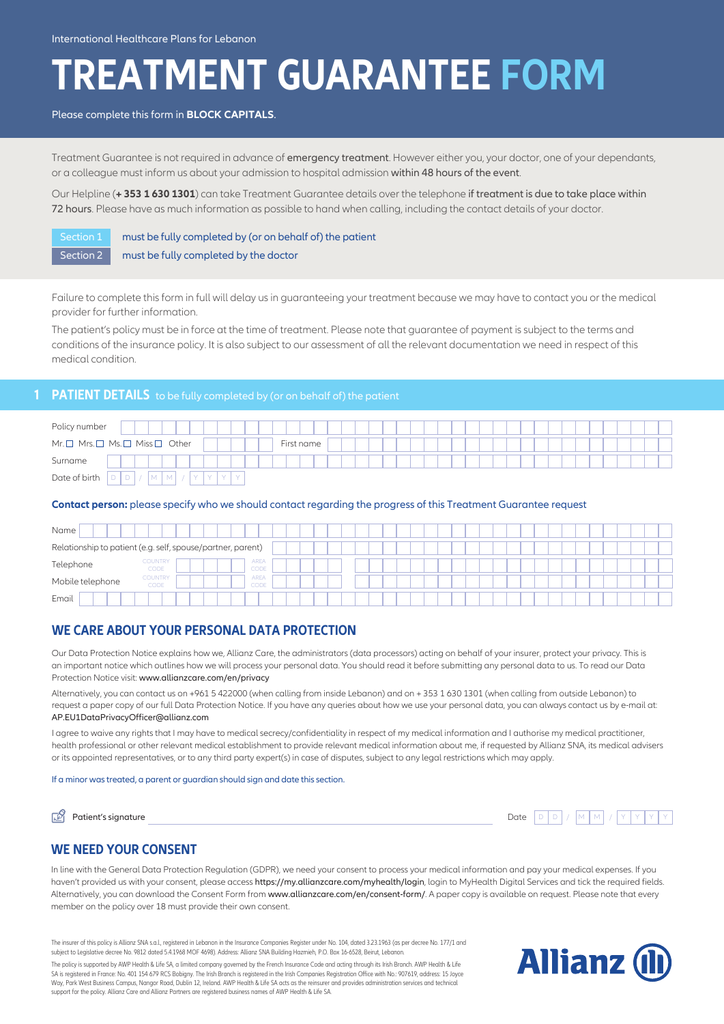# **TREATMENT GUARANTEE FORM**

#### Please complete this form in **BLOCK CAPITALS**.

Treatment Guarantee is not required in advance of emergency treatment. However either you, your doctor, one of your dependants, or a colleague must inform us about your admission to hospital admission within 48 hours of the event.

Our Helpline (**+ 353 1 630 1301**) can take Treatment Guarantee details over the telephone if treatment is due to take place within 72 hours. Please have as much information as possible to hand when calling, including the contact details of your doctor.

Section 1 must be fully completed by (or on behalf of) the patient

Section 2 must be fully completed by the doctor

Failure to complete this form in full will delay us in guaranteeing your treatment because we may have to contact you or the medical provider for further information.

The patient's policy must be in force at the time of treatment. Please note that guarantee of payment is subject to the terms and conditions of the insurance policy. It is also subject to our assessment of all the relevant documentation we need in respect of this medical condition.

# **1 PATIENT DETAILS** to be fully completed by (or on behalf of) the patient

| Policy number |                                                          |            |
|---------------|----------------------------------------------------------|------------|
|               | $Mr. \Box$ Mrs. $\Box$ Ms. $\Box$ Miss $\Box$ Other      | First name |
| Surname       |                                                          |            |
| Date of birth | $\sim$<br>$\Delta$<br>$\sqrt{2}$<br>M I<br>I M<br>υ<br>◡ |            |

#### **Contact person:** please specify who we should contact regarding the progress of this Treatment Guarantee request

| Name             |                                                             |  |  |  |  |  |  |  |  |  |  |
|------------------|-------------------------------------------------------------|--|--|--|--|--|--|--|--|--|--|
|                  | Relationship to patient (e.g. self, spouse/partner, parent) |  |  |  |  |  |  |  |  |  |  |
| Telephone        | <b>AREA</b><br><b>COUNTRY</b><br>CODE<br>CODE               |  |  |  |  |  |  |  |  |  |  |
| Mobile telephone | <b>COUNTRY</b><br><b>AREA</b><br>CODE<br>CODE               |  |  |  |  |  |  |  |  |  |  |
| Email            |                                                             |  |  |  |  |  |  |  |  |  |  |

## **WE CARE ABOUT YOUR PERSONAL DATA PROTECTION**

Our Data Protection Notice explains how we, Allianz Care, the administrators (data processors) acting on behalf of your insurer, protect your privacy. This is an important notice which outlines how we will process your personal data. You should read it before submitting any personal data to us. To read our Data Protection Notice visit: www.allianzcare.com/en/privacy

Alternatively, you can contact us on +961 5 422000 (when calling from inside Lebanon) and on + 353 1 630 1301 (when calling from outside Lebanon) to request a paper copy of our full Data Protection Notice. If you have any queries about how we use your personal data, you can always contact us by e-mail at: AP.EU1DataPrivacyOfficer@allianz.com

I agree to waive any rights that I may have to medical secrecy/confidentiality in respect of my medical information and I authorise my medical practitioner, health professional or other relevant medical establishment to provide relevant medical information about me, if requested by Allianz SNA, its medical advisers or its appointed representatives, or to any third party expert(s) in case of disputes, subject to any legal restrictions which may apply.

#### If a minor was treated, a parent or guardian should sign and date this section.

| Patient's signature | Date |
|---------------------|------|
|                     |      |

Date  $D$  $D$  /  $M$  $M$  /  $Y$   $Y$   $Y$ 

#### **WE NEED YOUR CONSENT**

In line with the General Data Protection Regulation (GDPR), we need your consent to process your medical information and pay your medical expenses. If you haven't provided us with your consent, please access https://my.allianzcare.com/myhealth/login, login to MyHealth Digital Services and tick the required fields. Alternatively, you can download the Consent Form from www.allianzcare.com/en/consent-form/. A paper copy is available on request. Please note that every member on the policy over 18 must provide their own consent.

The insurer of this policy is Allianz SNA s.a.l., registered in Lebanon in the Insurance Companies Register under No. 104, dated 3.23.1963 (as per decree No. 177/1 and subject to Legislative decree No. 9812 dated 5.4.1968 MOF 4698). Address: Allianz SNA Building Hazmieh, P.O. Box 16-6528, Beirut, Lebanon.

The policy is supported by AWP Health & Life SA, a limited company governed by the French Insurance Code and acting through its Irish Branch. AWP Health & Life SA is registered in France: No. 401 154 679 RCS Bobigny. The Irish Branch is registered in the Irish Companies Registration Office with No.: 907619, address: 15 Joyce Way, Park West Business Campus, Nangor Road, Dublin 12, Ireland. AWP Health & Life SA acts as the reinsurer and provides administration services and technical support for the policy. Allianz Care and Allianz Partners are registered business names of AWP Health & Life SA.